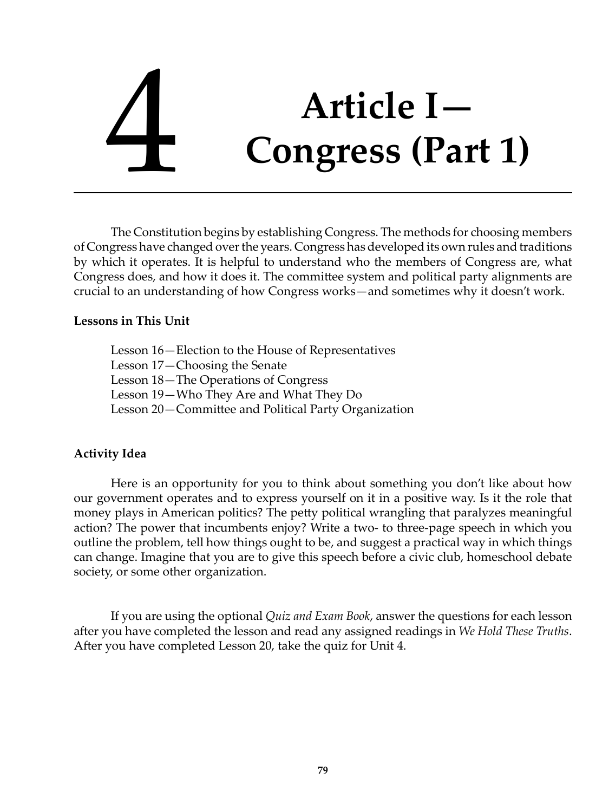# **Article I— Congress (Part 1)** 4

The Constitution begins by establishing Congress. The methods for choosing members of Congress have changed over the years. Congress has developed its own rules and traditions by which it operates. It is helpful to understand who the members of Congress are, what Congress does, and how it does it. The committee system and political party alignments are crucial to an understanding of how Congress works—and sometimes why it doesn't work.

### **Lessons in This Unit**

| Lesson 16—Election to the House of Representatives     |
|--------------------------------------------------------|
| Lesson 17—Choosing the Senate                          |
| Lesson 18—The Operations of Congress                   |
| Lesson 19-Who They Are and What They Do                |
| Lesson 20 – Committee and Political Party Organization |

# **Activity Idea**

Here is an opportunity for you to think about something you don't like about how our government operates and to express yourself on it in a positive way. Is it the role that money plays in American politics? The petty political wrangling that paralyzes meaningful action? The power that incumbents enjoy? Write a two- to three-page speech in which you outline the problem, tell how things ought to be, and suggest a practical way in which things can change. Imagine that you are to give this speech before a civic club, homeschool debate society, or some other organization.

If you are using the optional *Quiz and Exam Book*, answer the questions for each lesson after you have completed the lesson and read any assigned readings in *We Hold These Truths*. After you have completed Lesson 20, take the quiz for Unit 4.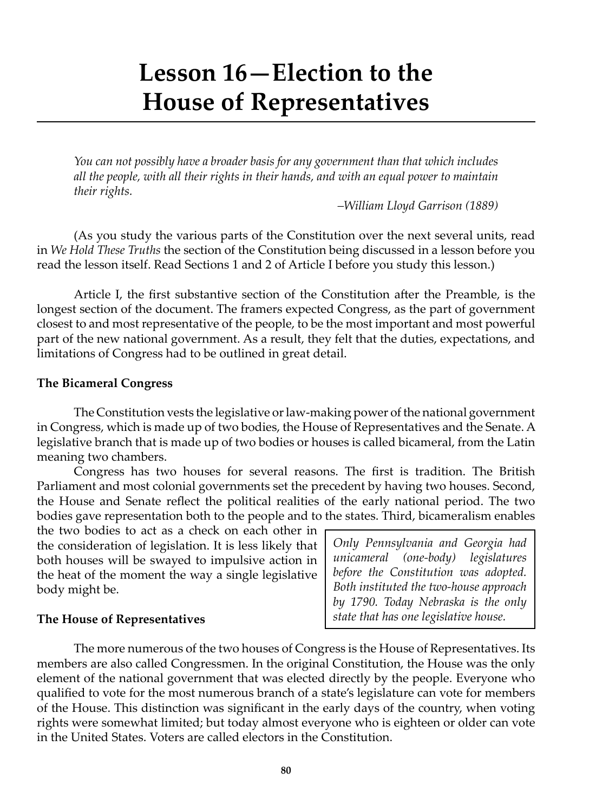# **Lesson 16—Election to the House of Representatives**

*You can not possibly have a broader basis for any government than that which includes all the people, with all their rights in their hands, and with an equal power to maintain their rights.*

*–William Lloyd Garrison (1889)*

(As you study the various parts of the Constitution over the next several units, read in *We Hold These Truths* the section of the Constitution being discussed in a lesson before you read the lesson itself. Read Sections 1 and 2 of Article I before you study this lesson.)

Article I, the first substantive section of the Constitution after the Preamble, is the longest section of the document. The framers expected Congress, as the part of government closest to and most representative of the people, to be the most important and most powerful part of the new national government. As a result, they felt that the duties, expectations, and limitations of Congress had to be outlined in great detail.

### **The Bicameral Congress**

The Constitution vests the legislative or law-making power of the national government in Congress, which is made up of two bodies, the House of Representatives and the Senate. A legislative branch that is made up of two bodies or houses is called bicameral, from the Latin meaning two chambers.

Congress has two houses for several reasons. The first is tradition. The British Parliament and most colonial governments set the precedent by having two houses. Second, the House and Senate reflect the political realities of the early national period. The two bodies gave representation both to the people and to the states. Third, bicameralism enables

the two bodies to act as a check on each other in the consideration of legislation. It is less likely that both houses will be swayed to impulsive action in the heat of the moment the way a single legislative body might be.

### **The House of Representatives**

*Only Pennsylvania and Georgia had unicameral (one-body) legislatures before the Constitution was adopted. Both instituted the two-house approach by 1790. Today Nebraska is the only state that has one legislative house.*

The more numerous of the two houses of Congress is the House of Representatives. Its members are also called Congressmen. In the original Constitution, the House was the only element of the national government that was elected directly by the people. Everyone who qualified to vote for the most numerous branch of a state's legislature can vote for members of the House. This distinction was significant in the early days of the country, when voting rights were somewhat limited; but today almost everyone who is eighteen or older can vote in the United States. Voters are called electors in the Constitution.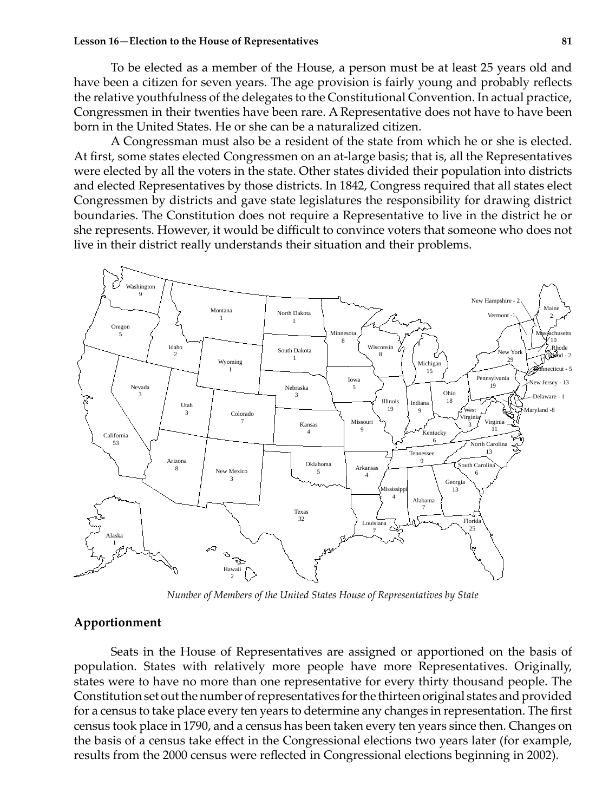#### **Lesson 16—Election to the House of Representatives 81**

To be elected as a member of the House, a person must be at least 25 years old and have been a citizen for seven years. The age provision is fairly young and probably reflects the relative youthfulness of the delegates to the Constitutional Convention. In actual practice, Congressmen in their twenties have been rare. A Representative does not have to have been born in the United States. He or she can be a naturalized citizen.

A Congressman must also be a resident of the state from which he or she is elected. At first, some states elected Congressmen on an at-large basis; that is, all the Representatives were elected by all the voters in the state. Other states divided their population into districts and elected Representatives by those districts. In 1842, Congress required that all states elect Congressmen by districts and gave state legislatures the responsibility for drawing district boundaries. The Constitution does not require a Representative to live in the district he or she represents. However, it would be difficult to convince voters that someone who does not live in their district really understands their situation and their problems.



*Number of Members of the United States House of Representatives by State*

### **Apportionment**

Seats in the House of Representatives are assigned or apportioned on the basis of population. States with relatively more people have more Representatives. Originally, states were to have no more than one representative for every thirty thousand people. The Constitution set out the number of representatives for the thirteen original states and provided for a census to take place every ten years to determine any changes in representation. The first census took place in 1790, and a census has been taken every ten years since then. Changes on the basis of a census take effect in the Congressional elections two years later (for example, results from the 2000 census were reflected in Congressional elections beginning in 2002).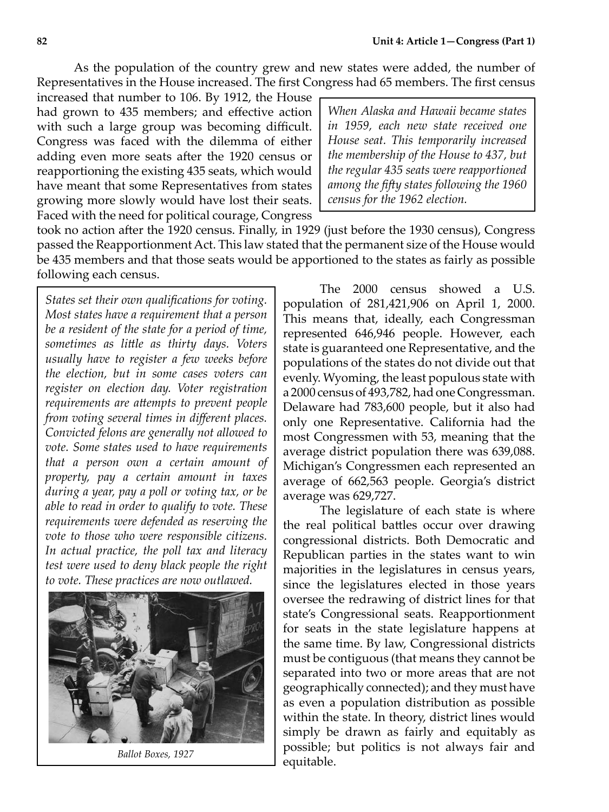As the population of the country grew and new states were added, the number of Representatives in the House increased. The first Congress had 65 members. The first census

increased that number to 106. By 1912, the House had grown to 435 members; and effective action with such a large group was becoming difficult. Congress was faced with the dilemma of either adding even more seats after the 1920 census or reapportioning the existing 435 seats, which would have meant that some Representatives from states growing more slowly would have lost their seats. Faced with the need for political courage, Congress

*When Alaska and Hawaii became states in 1959, each new state received one House seat. This temporarily increased the membership of the House to 437, but the regular 435 seats were reapportioned among the fiĞ y states following the 1960 census for the 1962 election.*

took no action after the 1920 census. Finally, in 1929 (just before the 1930 census), Congress passed the Reapportionment Act. This law stated that the permanent size of the House would be 435 members and that those seats would be apportioned to the states as fairly as possible following each census.

*States set their own qualifications for voting. Most states have a requirement that a person be a resident of the state for a period of time, sometimes as little as thirty days. Voters usually have to register a few weeks before the election, but in some cases voters can register on election day. Voter registration requirements are attempts to prevent people from voting several times in different places. Convicted felons are generally not allowed to vote. Some states used to have requirements that a person own a certain amount of property, pay a certain amount in taxes during a year, pay a poll or voting tax, or be able to read in order to qualify to vote. These requirements were defended as reserving the vote to those who were responsible citizens. In actual practice, the poll tax and literacy test were used to deny black people the right to vote. These practices are now outlawed.* 



*Ballot Boxes, 1927*

The 2000 census showed a U.S. population of 281,421,906 on April 1, 2000. This means that, ideally, each Congressman represented 646,946 people. However, each state is guaranteed one Representative, and the populations of the states do not divide out that evenly. Wyoming, the least populous state with a 2000 census of 493,782, had one Congressman. Delaware had 783,600 people, but it also had only one Representative. California had the most Congressmen with 53, meaning that the average district population there was 639,088. Michigan's Congressmen each represented an average of 662,563 people. Georgia's district average was 629,727.

The legislature of each state is where the real political battles occur over drawing congressional districts. Both Democratic and Republican parties in the states want to win majorities in the legislatures in census years, since the legislatures elected in those years oversee the redrawing of district lines for that state's Congressional seats. Reapportionment for seats in the state legislature happens at the same time. By law, Congressional districts must be contiguous (that means they cannot be separated into two or more areas that are not geographically connected); and they must have as even a population distribution as possible within the state. In theory, district lines would simply be drawn as fairly and equitably as possible; but politics is not always fair and equitable.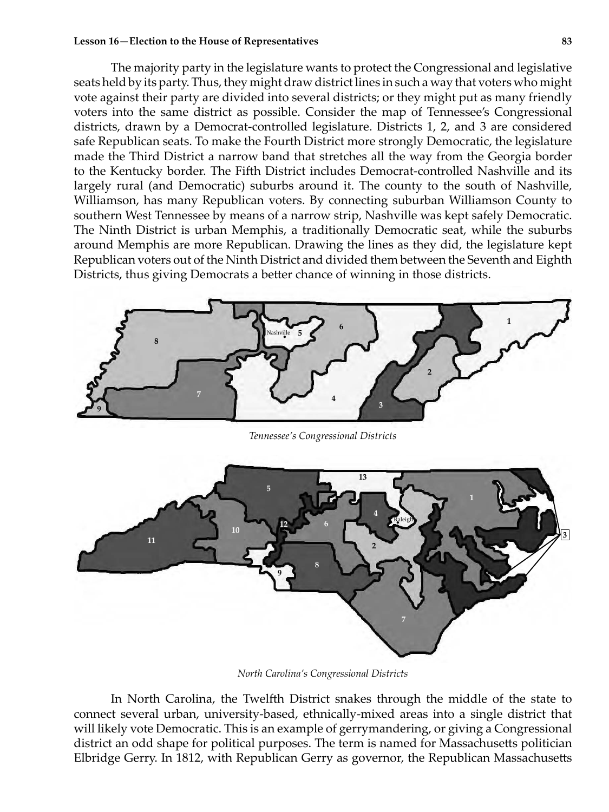#### **Lesson 16—Election to the House of Representatives 83**

The majority party in the legislature wants to protect the Congressional and legislative seats held by its party. Thus, they might draw district lines in such a way that voters who might vote against their party are divided into several districts; or they might put as many friendly voters into the same district as possible. Consider the map of Tennessee's Congressional districts, drawn by a Democrat-controlled legislature. Districts 1, 2, and 3 are considered safe Republican seats. To make the Fourth District more strongly Democratic, the legislature made the Third District a narrow band that stretches all the way from the Georgia border to the Kentucky border. The Fifth District includes Democrat-controlled Nashville and its largely rural (and Democratic) suburbs around it. The county to the south of Nashville, Williamson, has many Republican voters. By connecting suburban Williamson County to southern West Tennessee by means of a narrow strip, Nashville was kept safely Democratic. The Ninth District is urban Memphis, a traditionally Democratic seat, while the suburbs around Memphis are more Republican. Drawing the lines as they did, the legislature kept Republican voters out of the Ninth District and divided them between the Seventh and Eighth Districts, thus giving Democrats a better chance of winning in those districts.

**8 4 3 2 1 5 6 7** Nashville **• 9**

*Tennessee's Congressional Districts*



*North Carolina's Congressional Districts*

In North Carolina, the Twelfth District snakes through the middle of the state to connect several urban, university-based, ethnically-mixed areas into a single district that will likely vote Democratic. This is an example of gerrymandering, or giving a Congressional district an odd shape for political purposes. The term is named for Massachusetts politician Elbridge Gerry. In 1812, with Republican Gerry as governor, the Republican Massachusetts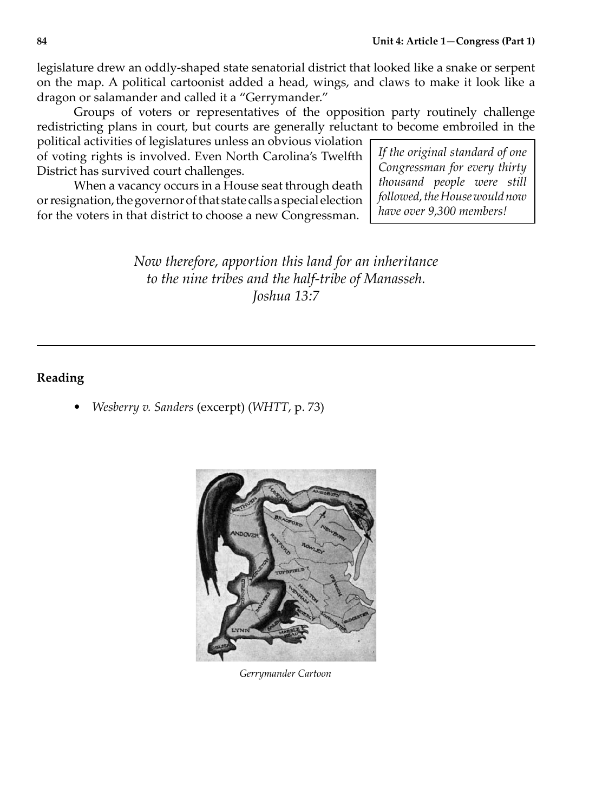legislature drew an oddly-shaped state senatorial district that looked like a snake or serpent on the map. A political cartoonist added a head, wings, and claws to make it look like a dragon or salamander and called it a "Gerrymander."

Groups of voters or representatives of the opposition party routinely challenge redistricting plans in court, but courts are generally reluctant to become embroiled in the

political activities of legislatures unless an obvious violation of voting rights is involved. Even North Carolina's Twelfth District has survived court challenges.

When a vacancy occurs in a House seat through death or resignation, the governor of that state calls a special election for the voters in that district to choose a new Congressman.

*If the original standard of one Congressman for every thirty thousand people were still followed, the House would now have over 9,300 members!*

*Now therefore, apportion this land for an inheritance to the nine tribes and the half-tribe of Manasseh. Joshua 13:7*

# **Reading**

*• Wesberry v. Sanders* (excerpt) (*WHTT*, p. 73)



*Gerrymander Cartoon*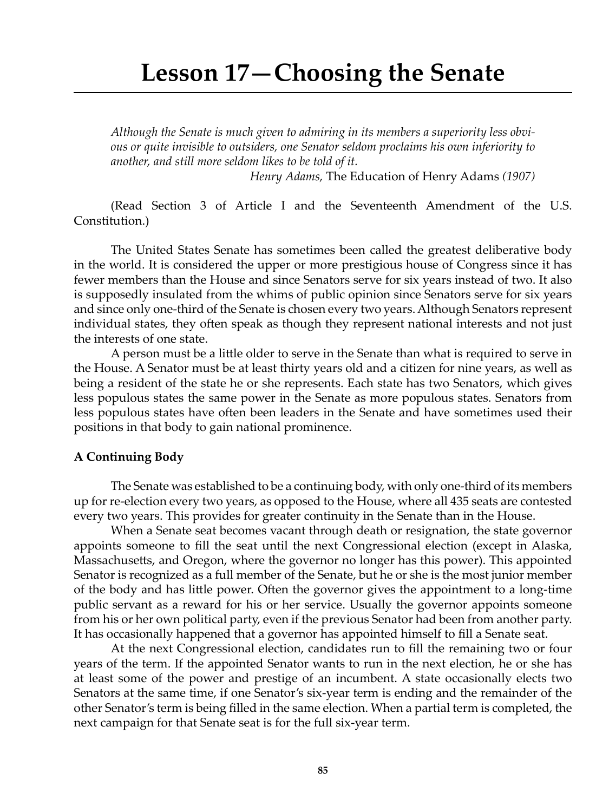# **Lesson 17—Choosing the Senate**

*Although the Senate is much given to admiring in its members a superiority less obvious or quite invisible to outsiders, one Senator seldom proclaims his own inferiority to another, and still more seldom likes to be told of it.*

*Henry Adams,* The Education of Henry Adams *(1907)*

(Read Section 3 of Article I and the Seventeenth Amendment of the U.S. Constitution.)

The United States Senate has sometimes been called the greatest deliberative body in the world. It is considered the upper or more prestigious house of Congress since it has fewer members than the House and since Senators serve for six years instead of two. It also is supposedly insulated from the whims of public opinion since Senators serve for six years and since only one-third of the Senate is chosen every two years. Although Senators represent individual states, they often speak as though they represent national interests and not just the interests of one state.

A person must be a little older to serve in the Senate than what is required to serve in the House. A Senator must be at least thirty years old and a citizen for nine years, as well as being a resident of the state he or she represents. Each state has two Senators, which gives less populous states the same power in the Senate as more populous states. Senators from less populous states have often been leaders in the Senate and have sometimes used their positions in that body to gain national prominence.

### **A Continuing Body**

The Senate was established to be a continuing body, with only one-third of its members up for re-election every two years, as opposed to the House, where all 435 seats are contested every two years. This provides for greater continuity in the Senate than in the House.

When a Senate seat becomes vacant through death or resignation, the state governor appoints someone to fill the seat until the next Congressional election (except in Alaska, Massachusetts, and Oregon, where the governor no longer has this power). This appointed Senator is recognized as a full member of the Senate, but he or she is the most junior member of the body and has little power. Often the governor gives the appointment to a long-time public servant as a reward for his or her service. Usually the governor appoints someone from his or her own political party, even if the previous Senator had been from another party. It has occasionally happened that a governor has appointed himself to fill a Senate seat.

At the next Congressional election, candidates run to fill the remaining two or four years of the term. If the appointed Senator wants to run in the next election, he or she has at least some of the power and prestige of an incumbent. A state occasionally elects two Senators at the same time, if one Senator's six-year term is ending and the remainder of the other Senator's term is being filled in the same election. When a partial term is completed, the next campaign for that Senate seat is for the full six-year term.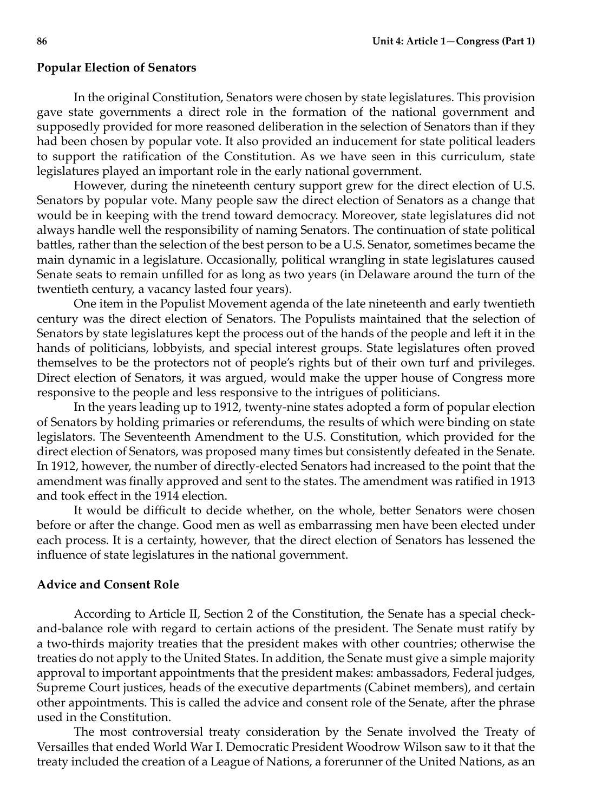### **Popular Election of Senators**

In the original Constitution, Senators were chosen by state legislatures. This provision gave state governments a direct role in the formation of the national government and supposedly provided for more reasoned deliberation in the selection of Senators than if they had been chosen by popular vote. It also provided an inducement for state political leaders to support the ratification of the Constitution. As we have seen in this curriculum, state legislatures played an important role in the early national government.

However, during the nineteenth century support grew for the direct election of U.S. Senators by popular vote. Many people saw the direct election of Senators as a change that would be in keeping with the trend toward democracy. Moreover, state legislatures did not always handle well the responsibility of naming Senators. The continuation of state political battles, rather than the selection of the best person to be a U.S. Senator, sometimes became the main dynamic in a legislature. Occasionally, political wrangling in state legislatures caused Senate seats to remain unfilled for as long as two years (in Delaware around the turn of the twentieth century, a vacancy lasted four years).

One item in the Populist Movement agenda of the late nineteenth and early twentieth century was the direct election of Senators. The Populists maintained that the selection of Senators by state legislatures kept the process out of the hands of the people and left it in the hands of politicians, lobbyists, and special interest groups. State legislatures often proved themselves to be the protectors not of people's rights but of their own turf and privileges. Direct election of Senators, it was argued, would make the upper house of Congress more responsive to the people and less responsive to the intrigues of politicians.

In the years leading up to 1912, twenty-nine states adopted a form of popular election of Senators by holding primaries or referendums, the results of which were binding on state legislators. The Seventeenth Amendment to the U.S. Constitution, which provided for the direct election of Senators, was proposed many times but consistently defeated in the Senate. In 1912, however, the number of directly-elected Senators had increased to the point that the amendment was finally approved and sent to the states. The amendment was ratified in 1913 and took effect in the 1914 election.

It would be difficult to decide whether, on the whole, better Senators were chosen before or after the change. Good men as well as embarrassing men have been elected under each process. It is a certainty, however, that the direct election of Senators has lessened the influence of state legislatures in the national government.

#### **Advice and Consent Role**

According to Article II, Section 2 of the Constitution, the Senate has a special checkand-balance role with regard to certain actions of the president. The Senate must ratify by a two-thirds majority treaties that the president makes with other countries; otherwise the treaties do not apply to the United States. In addition, the Senate must give a simple majority approval to important appointments that the president makes: ambassadors, Federal judges, Supreme Court justices, heads of the executive departments (Cabinet members), and certain other appointments. This is called the advice and consent role of the Senate, after the phrase used in the Constitution.

The most controversial treaty consideration by the Senate involved the Treaty of Versailles that ended World War I. Democratic President Woodrow Wilson saw to it that the treaty included the creation of a League of Nations, a forerunner of the United Nations, as an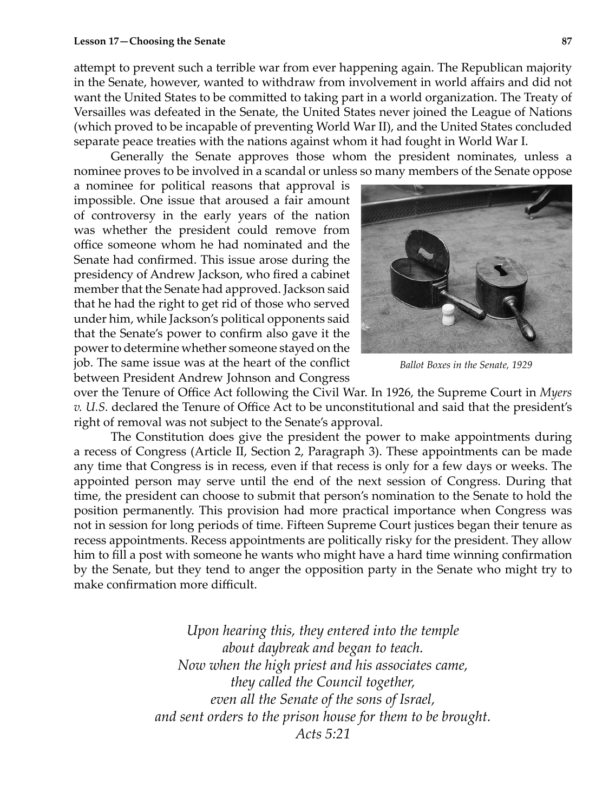attempt to prevent such a terrible war from ever happening again. The Republican majority in the Senate, however, wanted to withdraw from involvement in world affairs and did not want the United States to be committed to taking part in a world organization. The Treaty of Versailles was defeated in the Senate, the United States never joined the League of Nations (which proved to be incapable of preventing World War II), and the United States concluded separate peace treaties with the nations against whom it had fought in World War I.

Generally the Senate approves those whom the president nominates, unless a nominee proves to be involved in a scandal or unless so many members of the Senate oppose

a nominee for political reasons that approval is impossible. One issue that aroused a fair amount of controversy in the early years of the nation was whether the president could remove from office someone whom he had nominated and the Senate had confirmed. This issue arose during the presidency of Andrew Jackson, who fired a cabinet member that the Senate had approved. Jackson said that he had the right to get rid of those who served under him, while Jackson's political opponents said that the Senate's power to confirm also gave it the power to determine whether someone stayed on the job. The same issue was at the heart of the conflict between President Andrew Johnson and Congress



*Ballot Boxes in the Senate, 1929*

over the Tenure of Office Act following the Civil War. In 1926, the Supreme Court in *Myers v. U.S.* declared the Tenure of Office Act to be unconstitutional and said that the president's right of removal was not subject to the Senate's approval.

The Constitution does give the president the power to make appointments during a recess of Congress (Article II, Section 2, Paragraph 3). These appointments can be made any time that Congress is in recess, even if that recess is only for a few days or weeks. The appointed person may serve until the end of the next session of Congress. During that time, the president can choose to submit that person's nomination to the Senate to hold the position permanently. This provision had more practical importance when Congress was not in session for long periods of time. Fifteen Supreme Court justices began their tenure as recess appointments. Recess appointments are politically risky for the president. They allow him to fill a post with someone he wants who might have a hard time winning confirmation by the Senate, but they tend to anger the opposition party in the Senate who might try to make confirmation more difficult.

> *Upon hearing this, they entered into the temple about daybreak and began to teach. Now when the high priest and his associates came, they called the Council together, even all the Senate of the sons of Israel, and sent orders to the prison house for them to be brought. Acts 5:21*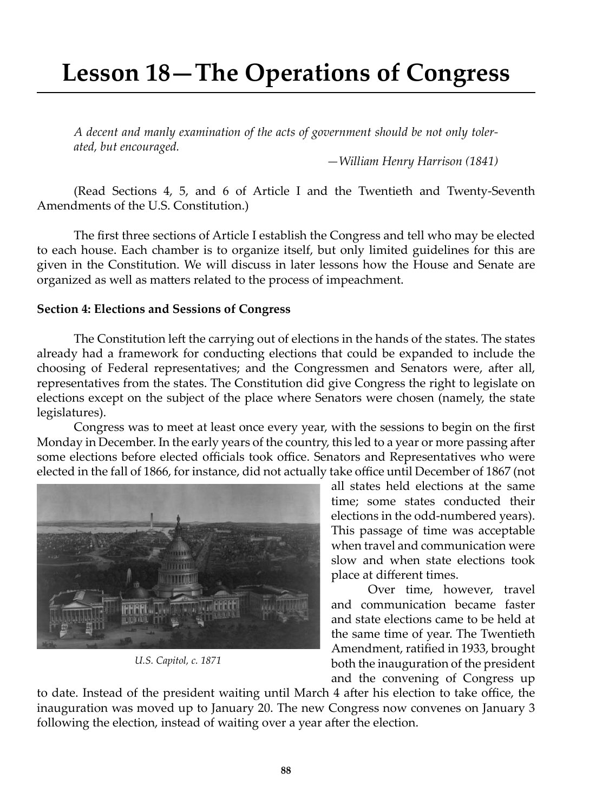# **Lesson 18 —The Operations of Congress**

*A decent and manly examination of the acts of government should be not only tolerated, but encouraged.*

*—William Henry Harrison (1841)*

(Read Sections 4, 5, and 6 of Article I and the Twentieth and Twenty-Seventh Amendments of the U.S. Constitution.)

The first three sections of Article I establish the Congress and tell who may be elected to each house. Each chamber is to organize itself, but only limited guidelines for this are given in the Constitution. We will discuss in later lessons how the House and Senate are organized as well as matters related to the process of impeachment.

### **Section 4: Elections and Sessions of Congress**

The Constitution left the carrying out of elections in the hands of the states. The states already had a framework for conducting elections that could be expanded to include the choosing of Federal representatives; and the Congressmen and Senators were, after all, representatives from the states. The Constitution did give Congress the right to legislate on elections except on the subject of the place where Senators were chosen (namely, the state legislatures).

Congress was to meet at least once every year, with the sessions to begin on the first Monday in December. In the early years of the country, this led to a year or more passing after some elections before elected officials took office. Senators and Representatives who were elected in the fall of 1866, for instance, did not actually take office until December of 1867 (not



*U.S. Capitol, c. 1871*

all states held elections at the same time; some states conducted their elections in the odd-numbered years). This passage of time was acceptable when travel and communication were slow and when state elections took place at different times.

Over time, however, travel and communication became faster and state elections came to be held at the same time of year. The Twentieth Amendment, ratified in 1933, brought both the inauguration of the president and the convening of Congress up

to date. Instead of the president waiting until March 4 after his election to take office, the inauguration was moved up to January 20. The new Congress now convenes on January 3 following the election, instead of waiting over a year after the election.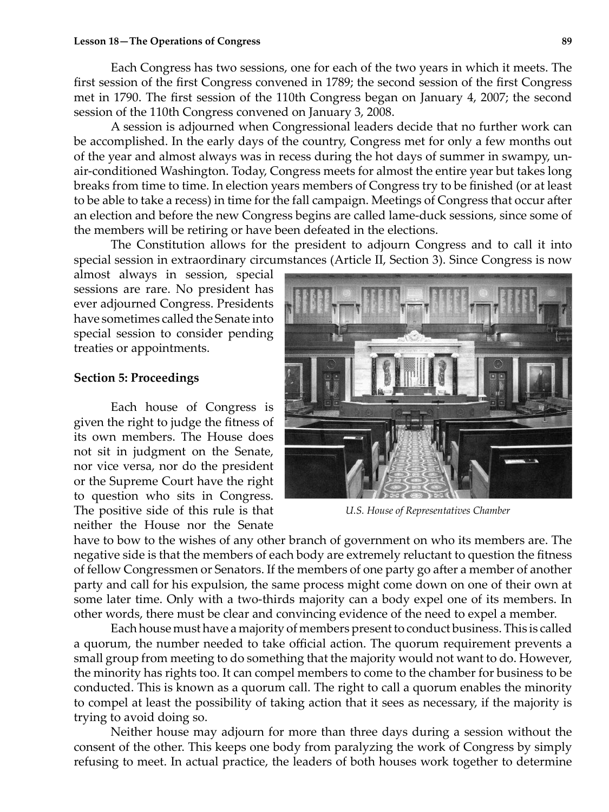Each Congress has two sessions, one for each of the two years in which it meets. The first session of the first Congress convened in 1789; the second session of the first Congress met in 1790. The first session of the 110th Congress began on January 4, 2007; the second session of the 110th Congress convened on January 3, 2008.

A session is adjourned when Congressional leaders decide that no further work can be accomplished. In the early days of the country, Congress met for only a few months out of the year and almost always was in recess during the hot days of summer in swampy, unair-conditioned Washington. Today, Congress meets for almost the entire year but takes long breaks from time to time. In election years members of Congress try to be finished (or at least to be able to take a recess) in time for the fall campaign. Meetings of Congress that occur after an election and before the new Congress begins are called lame-duck sessions, since some of the members will be retiring or have been defeated in the elections.

The Constitution allows for the president to adjourn Congress and to call it into special session in extraordinary circumstances (Article II, Section 3). Since Congress is now

almost always in session, special sessions are rare. No president has ever adjourned Congress. Presidents have sometimes called the Senate into special session to consider pending treaties or appointments.

### **Section 5: Proceedings**

Each house of Congress is given the right to judge the fitness of its own members. The House does not sit in judgment on the Senate, nor vice versa, nor do the president or the Supreme Court have the right to question who sits in Congress. The positive side of this rule is that neither the House nor the Senate



*U.S. House of Representatives Chamber*

have to bow to the wishes of any other branch of government on who its members are. The negative side is that the members of each body are extremely reluctant to question the fitness of fellow Congressmen or Senators. If the members of one party go after a member of another party and call for his expulsion, the same process might come down on one of their own at some later time. Only with a two-thirds majority can a body expel one of its members. In other words, there must be clear and convincing evidence of the need to expel a member.

Each house must have a majority of members present to conduct business. This is called a quorum, the number needed to take official action. The quorum requirement prevents a small group from meeting to do something that the majority would not want to do. However, the minority has rights too. It can compel members to come to the chamber for business to be conducted. This is known as a quorum call. The right to call a quorum enables the minority to compel at least the possibility of taking action that it sees as necessary, if the majority is trying to avoid doing so.

Neither house may adjourn for more than three days during a session without the consent of the other. This keeps one body from paralyzing the work of Congress by simply refusing to meet. In actual practice, the leaders of both houses work together to determine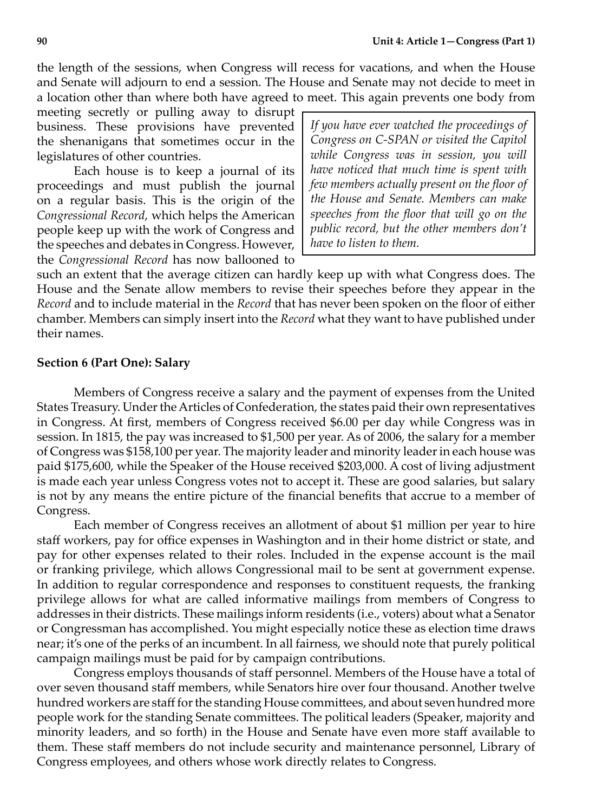the length of the sessions, when Congress will recess for vacations, and when the House and Senate will adjourn to end a session. The House and Senate may not decide to meet in a location other than where both have agreed to meet. This again prevents one body from

meeting secretly or pulling away to disrupt business. These provisions have prevented the shenanigans that sometimes occur in the legislatures of other countries.

Each house is to keep a journal of its proceedings and must publish the journal on a regular basis. This is the origin of the *Congressional Record*, which helps the American people keep up with the work of Congress and the speeches and debates in Congress. However, the *Congressional Record* has now ballooned to

*If you have ever watched the proceedings of Congress on C-SPAN or visited the Capitol while Congress was in session, you will have noticed that much time is spent with few members actually present on the floor of the House and Senate. Members can make speeches from the fl oor that will go on the public record, but the other members don't have to listen to them.*

such an extent that the average citizen can hardly keep up with what Congress does. The House and the Senate allow members to revise their speeches before they appear in the *Record* and to include material in the *Record* that has never been spoken on the floor of either chamber. Members can simply insert into the *Record* what they want to have published under their names.

### **Section 6 (Part One): Salary**

Members of Congress receive a salary and the payment of expenses from the United States Treasury. Under the Articles of Confederation, the states paid their own representatives in Congress. At first, members of Congress received \$6.00 per day while Congress was in session. In 1815, the pay was increased to \$1,500 per year. As of 2006, the salary for a member of Congress was \$158,100 per year. The majority leader and minority leader in each house was paid \$175,600, while the Speaker of the House received \$203,000. A cost of living adjustment is made each year unless Congress votes not to accept it. These are good salaries, but salary is not by any means the entire picture of the financial benefits that accrue to a member of Congress.

Each member of Congress receives an allotment of about \$1 million per year to hire staff workers, pay for office expenses in Washington and in their home district or state, and pay for other expenses related to their roles. Included in the expense account is the mail or franking privilege, which allows Congressional mail to be sent at government expense. In addition to regular correspondence and responses to constituent requests, the franking privilege allows for what are called informative mailings from members of Congress to addresses in their districts. These mailings inform residents (i.e., voters) about what a Senator or Congressman has accomplished. You might especially notice these as election time draws near; it's one of the perks of an incumbent. In all fairness, we should note that purely political campaign mailings must be paid for by campaign contributions.

Congress employs thousands of staff personnel. Members of the House have a total of over seven thousand staff members, while Senators hire over four thousand. Another twelve hundred workers are staff for the standing House committees, and about seven hundred more people work for the standing Senate committees. The political leaders (Speaker, majority and minority leaders, and so forth) in the House and Senate have even more staff available to them. These staff members do not include security and maintenance personnel, Library of Congress employees, and others whose work directly relates to Congress.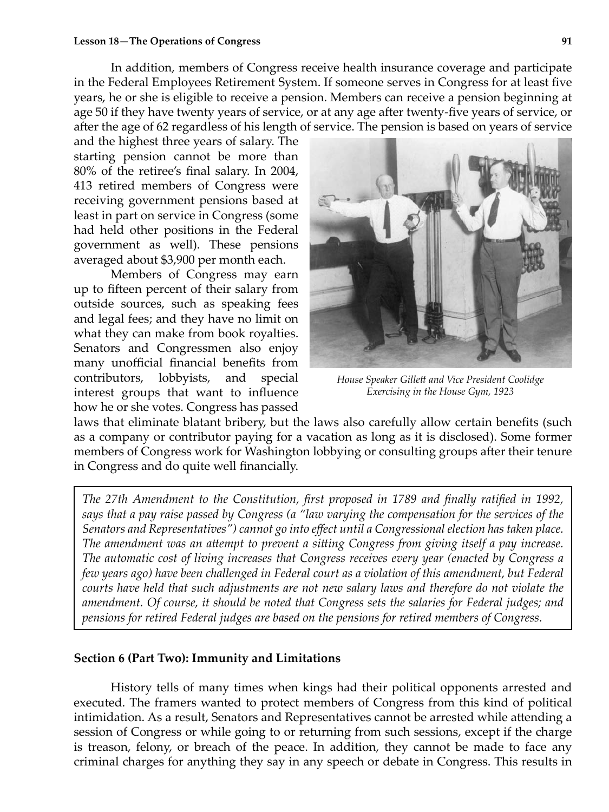#### **Lesson 18—The Operations of Congress 91**

In addition, members of Congress receive health insurance coverage and participate in the Federal Employees Retirement System. If someone serves in Congress for at least five years, he or she is eligible to receive a pension. Members can receive a pension beginning at age 50 if they have twenty years of service, or at any age after twenty-five years of service, or after the age of 62 regardless of his length of service. The pension is based on years of service

and the highest three years of salary. The starting pension cannot be more than  $80\%$  of the retiree's final salary. In 2004, 413 retired members of Congress were receiving government pensions based at least in part on service in Congress (some had held other positions in the Federal government as well). These pensions averaged about \$3,900 per month each.

Members of Congress may earn up to fifteen percent of their salary from outside sources, such as speaking fees and legal fees; and they have no limit on what they can make from book royalties. Senators and Congressmen also enjoy many unofficial financial benefits from contributors, lobbyists, and special interest groups that want to influence how he or she votes. Congress has passed



*House Speaker Gillett and Vice President Coolidge Exercising in the House Gym, 1923*

laws that eliminate blatant bribery, but the laws also carefully allow certain benefits (such as a company or contributor paying for a vacation as long as it is disclosed). Some former members of Congress work for Washington lobbying or consulting groups after their tenure in Congress and do quite well financially.

The 27th Amendment to the Constitution, first proposed in 1789 and finally ratified in 1992, *says that a pay raise passed by Congress (a "law varying the compensation for the services of the Senators and Representatives") cannot go into eff ect until a Congressional election has taken place. The amendment was an attempt to prevent a sitting Congress from giving itself a pay increase. The automatic cost of living increases that Congress receives every year (enacted by Congress a few years ago) have been challenged in Federal court as a violation of this amendment, but Federal courts have held that such adjustments are not new salary laws and therefore do not violate the amendment. Of course, it should be noted that Congress sets the salaries for Federal judges; and pensions for retired Federal judges are based on the pensions for retired members of Congress.*

### **Section 6 (Part Two): Immunity and Limitations**

History tells of many times when kings had their political opponents arrested and executed. The framers wanted to protect members of Congress from this kind of political intimidation. As a result, Senators and Representatives cannot be arrested while attending a session of Congress or while going to or returning from such sessions, except if the charge is treason, felony, or breach of the peace. In addition, they cannot be made to face any criminal charges for anything they say in any speech or debate in Congress. This results in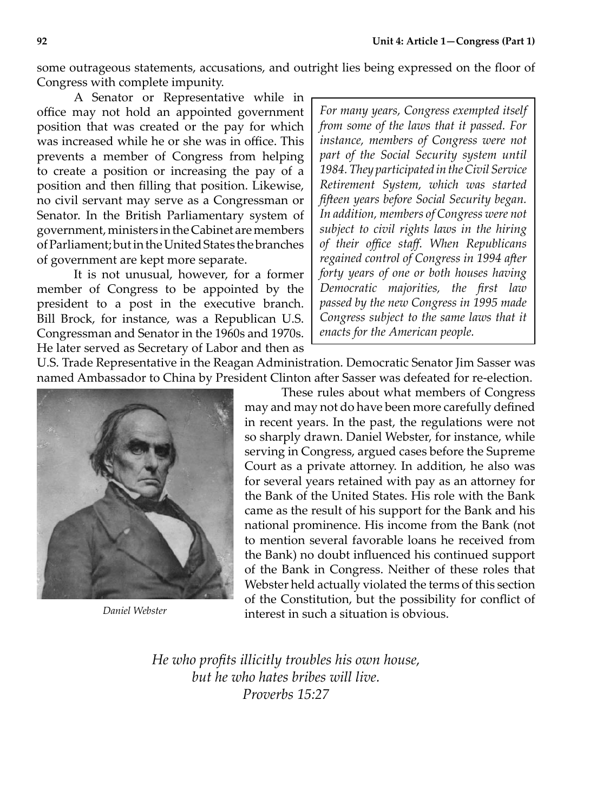some outrageous statements, accusations, and outright lies being expressed on the floor of Congress with complete impunity.

A Senator or Representative while in office may not hold an appointed government position that was created or the pay for which was increased while he or she was in office. This prevents a member of Congress from helping to create a position or increasing the pay of a position and then filling that position. Likewise, no civil servant may serve as a Congressman or Senator. In the British Parliamentary system of government, ministers in the Cabinet are members of Parliament; but in the United States the branches of government are kept more separate.

It is not unusual, however, for a former member of Congress to be appointed by the president to a post in the executive branch. Bill Brock, for instance, was a Republican U.S. Congressman and Senator in the 1960s and 1970s. He later served as Secretary of Labor and then as

*For many years, Congress exempted itself from some of the laws that it passed. For instance, members of Congress were not part of the Social Security system until 1984. They participated in the Civil Service Retirement System, which was started fifteen years before Social Security began. In addition, members of Congress were not subject to civil rights laws in the hiring of their office staff.* When Republicans *regained control of Congress in 1994 after forty years of one or both houses having Democratic majorities, the first law passed by the new Congress in 1995 made Congress subject to the same laws that it enacts for the American people.*

U.S. Trade Representative in the Reagan Administration. Democratic Senator Jim Sasser was named Ambassador to China by President Clinton after Sasser was defeated for re-election.



*Daniel Webster*

These rules about what members of Congress may and may not do have been more carefully defined in recent years. In the past, the regulations were not so sharply drawn. Daniel Webster, for instance, while serving in Congress, argued cases before the Supreme Court as a private attorney. In addition, he also was for several years retained with pay as an attorney for the Bank of the United States. His role with the Bank came as the result of his support for the Bank and his national prominence. His income from the Bank (not to mention several favorable loans he received from the Bank) no doubt influenced his continued support of the Bank in Congress. Neither of these roles that Webster held actually violated the terms of this section of the Constitution, but the possibility for conflict of interest in such a situation is obvious.

*He who profi ts illicitly troubles his own house, but he who hates bribes will live. Proverbs 15:27*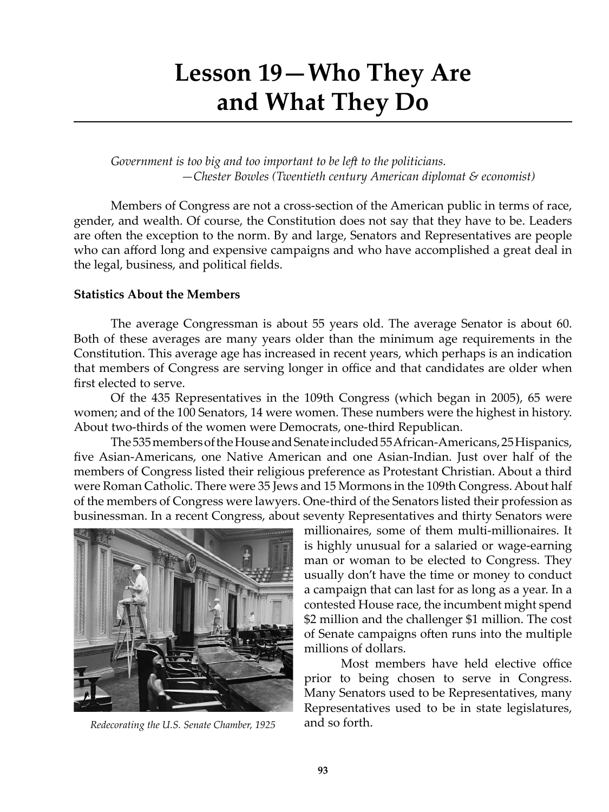# **Lesson 19—Who They Are and What They Do**

*Government is too big and too important to be left to the politicians. —Chester Bowles (Twentieth century American diplomat & economist)*

Members of Congress are not a cross-section of the American public in terms of race, gender, and wealth. Of course, the Constitution does not say that they have to be. Leaders are often the exception to the norm. By and large, Senators and Representatives are people who can afford long and expensive campaigns and who have accomplished a great deal in the legal, business, and political fields.

### **Statistics About the Members**

The average Congressman is about 55 years old. The average Senator is about 60. Both of these averages are many years older than the minimum age requirements in the Constitution. This average age has increased in recent years, which perhaps is an indication that members of Congress are serving longer in office and that candidates are older when first elected to serve.

Of the 435 Representatives in the 109th Congress (which began in 2005), 65 were women; and of the 100 Senators, 14 were women. These numbers were the highest in history. About two-thirds of the women were Democrats, one-third Republican.

The 535 members of the House and Senate included 55 African-Americans, 25 Hispanics, five Asian-Americans, one Native American and one Asian-Indian. Just over half of the members of Congress listed their religious preference as Protestant Christian. About a third were Roman Catholic. There were 35 Jews and 15 Mormons in the 109th Congress. About half of the members of Congress were lawyers. One-third of the Senators listed their profession as businessman. In a recent Congress, about seventy Representatives and thirty Senators were



*Redecorating the U.S. Senate Chamber, 1925* and so forth.

millionaires, some of them multi-millionaires. It is highly unusual for a salaried or wage-earning man or woman to be elected to Congress. They usually don't have the time or money to conduct a campaign that can last for as long as a year. In a contested House race, the incumbent might spend \$2 million and the challenger \$1 million. The cost of Senate campaigns often runs into the multiple millions of dollars.

Most members have held elective office prior to being chosen to serve in Congress. Many Senators used to be Representatives, many Representatives used to be in state legislatures,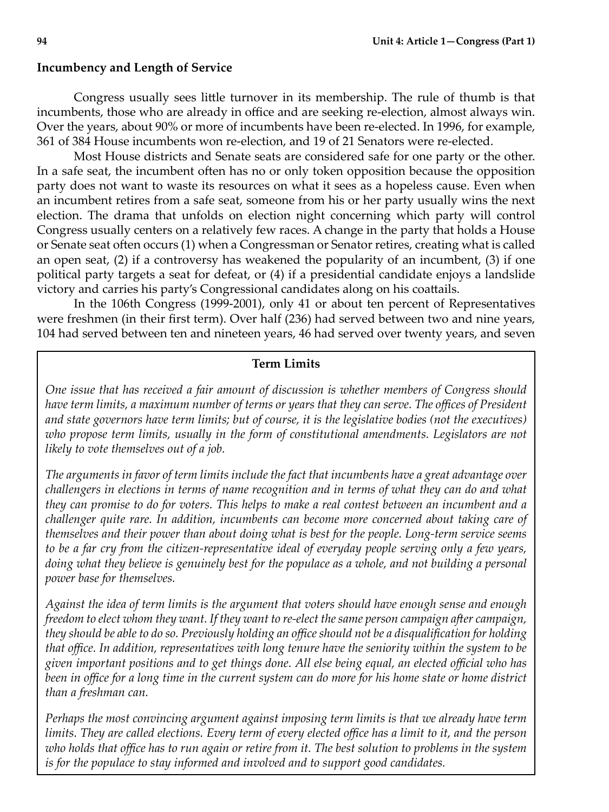### **Incumbency and Length of Service**

Congress usually sees little turnover in its membership. The rule of thumb is that incumbents, those who are already in office and are seeking re-election, almost always win. Over the years, about 90% or more of incumbents have been re-elected. In 1996, for example, 361 of 384 House incumbents won re-election, and 19 of 21 Senators were re-elected.

Most House districts and Senate seats are considered safe for one party or the other. In a safe seat, the incumbent often has no or only token opposition because the opposition party does not want to waste its resources on what it sees as a hopeless cause. Even when an incumbent retires from a safe seat, someone from his or her party usually wins the next election. The drama that unfolds on election night concerning which party will control Congress usually centers on a relatively few races. A change in the party that holds a House or Senate seat often occurs (1) when a Congressman or Senator retires, creating what is called an open seat, (2) if a controversy has weakened the popularity of an incumbent, (3) if one political party targets a seat for defeat, or (4) if a presidential candidate enjoys a landslide victory and carries his party's Congressional candidates along on his coattails.

In the 106th Congress (1999-2001), only 41 or about ten percent of Representatives were freshmen (in their first term). Over half (236) had served between two and nine years, 104 had served between ten and nineteen years, 46 had served over twenty years, and seven

### **Term Limits**

*One issue that has received a fair amount of discussion is whether members of Congress should have term limits, a maximum number of terms or years that they can serve. The offi ces of President and state governors have term limits; but of course, it is the legislative bodies (not the executives) who propose term limits, usually in the form of constitutional amendments. Legislators are not likely to vote themselves out of a job.*

*The arguments in favor of term limits include the fact that incumbents have a great advantage over challengers in elections in terms of name recognition and in terms of what they can do and what they can promise to do for voters. This helps to make a real contest between an incumbent and a challenger quite rare. In addition, incumbents can become more concerned about taking care of themselves and their power than about doing what is best for the people. Long-term service seems to be a far cry from the citizen-representative ideal of everyday people serving only a few years, doing what they believe is genuinely best for the populace as a whole, and not building a personal power base for themselves.*

*Against the idea of term limits is the argument that voters should have enough sense and enough freedom to elect whom they want. If they want to re-elect the same person campaign after campaign, they should be able to do so. Previously holding an offi ce should not be a disqualifi cation for holding that offi ce. In addition, representatives with long tenure have the seniority within the system to be given important positions and to get things done. All else being equal, an elected offi cial who has been in offi ce for a long time in the current system can do more for his home state or home district than a freshman can.* 

*Perhaps the most convincing argument against imposing term limits is that we already have term limits. They are called elections. Every term of every elected office has a limit to it, and the person who holds that offi ce has to run again or retire from it. The best solution to problems in the system is for the populace to stay informed and involved and to support good candidates.*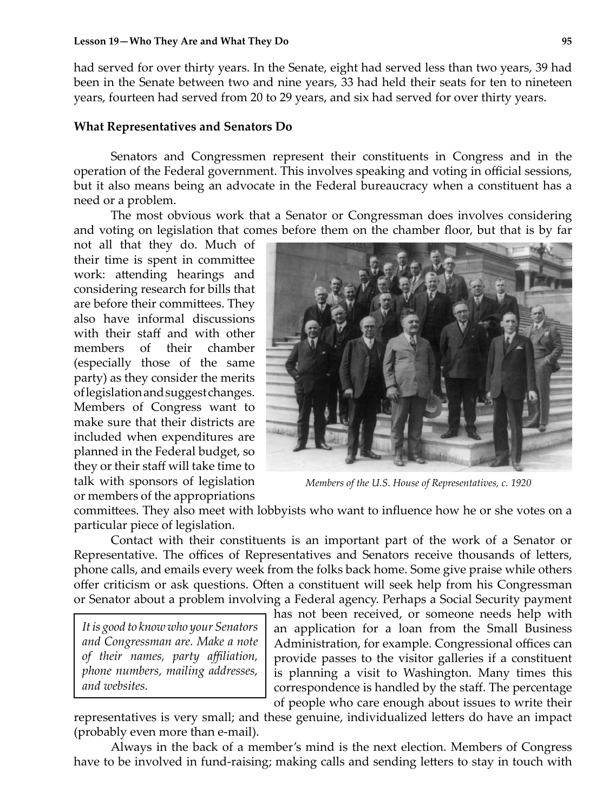had served for over thirty years. In the Senate, eight had served less than two years, 39 had been in the Senate between two and nine years, 33 had held their seats for ten to nineteen years, fourteen had served from 20 to 29 years, and six had served for over thirty years.

### **What Representatives and Senators Do**

Senators and Congressmen represent their constituents in Congress and in the operation of the Federal government. This involves speaking and voting in official sessions, but it also means being an advocate in the Federal bureaucracy when a constituent has a need or a problem.

The most obvious work that a Senator or Congressman does involves considering and voting on legislation that comes before them on the chamber floor, but that is by far

not all that they do. Much of their time is spent in committee work: attending hearings and considering research for bills that are before their committees. They also have informal discussions with their staff and with other members of their chamber (especially those of the same party) as they consider the merits of legislation and suggest changes. Members of Congress want to make sure that their districts are included when expenditures are planned in the Federal budget, so they or their staff will take time to talk with sponsors of legislation or members of the appropriations



*Members of the U.S. House of Representatives, c. 1920*

committees. They also meet with lobbyists who want to influence how he or she votes on a particular piece of legislation.

Contact with their constituents is an important part of the work of a Senator or Representative. The offices of Representatives and Senators receive thousands of letters, phone calls, and emails every week from the folks back home. Some give praise while others offer criticism or ask questions. Often a constituent will seek help from his Congressman or Senator about a problem involving a Federal agency. Perhaps a Social Security payment

*It is good to know who your Senators and Congressman are. Make a note of their names, party affiliation, phone numbers, mailing addresses, and websites.*

has not been received, or someone needs help with an application for a loan from the Small Business Administration, for example. Congressional offices can provide passes to the visitor galleries if a constituent is planning a visit to Washington. Many times this correspondence is handled by the staff. The percentage of people who care enough about issues to write their

representatives is very small; and these genuine, individualized letters do have an impact (probably even more than e-mail).

Always in the back of a member's mind is the next election. Members of Congress have to be involved in fund-raising; making calls and sending letters to stay in touch with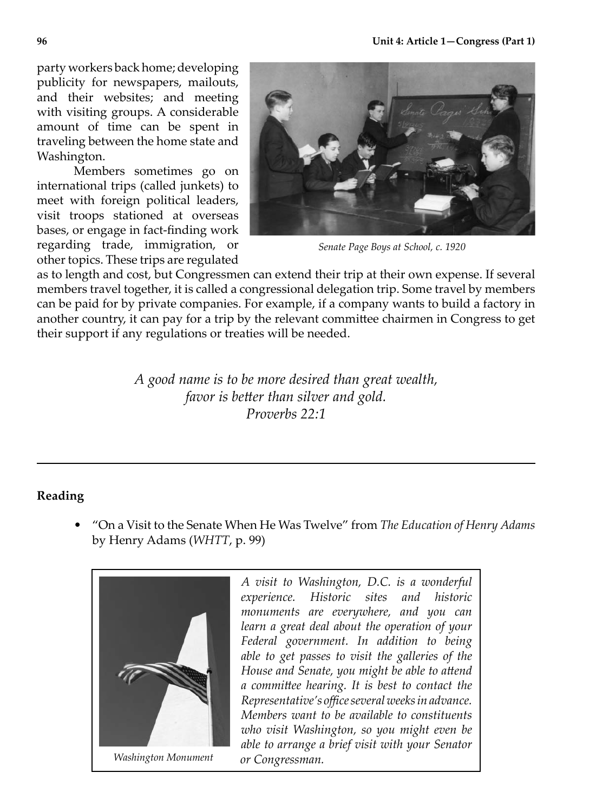party workers back home; developing publicity for newspapers, mailouts, and their websites; and meeting with visiting groups. A considerable amount of time can be spent in traveling between the home state and Washington.

Members sometimes go on international trips (called junkets) to meet with foreign political leaders, visit troops stationed at overseas bases, or engage in fact-finding work regarding trade, immigration, or other topics. These trips are regulated



*Senate Page Boys at School, c. 1920*

as to length and cost, but Congressmen can extend their trip at their own expense. If several members travel together, it is called a congressional delegation trip. Some travel by members can be paid for by private companies. For example, if a company wants to build a factory in another country, it can pay for a trip by the relevant committee chairmen in Congress to get their support if any regulations or treaties will be needed.

> *A good name is to be more desired than great wealth, favor is better than silver and gold. Proverbs 22:1*

# **Reading**

• "On a Visit to the Senate When He Was Twelve" from *The Education of Henry Adams* by Henry Adams (*WHTT*, p. 99)



*A visit to Washington, D.C. is a wonderful experience. Historic sites and historic monuments are everywhere, and you can learn a great deal about the operation of your Federal government. In addition to being able to get passes to visit the galleries of the House and Senate, you might be able to attend a commiĴ ee hearing. It is best to contact the Representative's offi ce several weeks in advance. Members want to be available to constituents who visit Washington, so you might even be able to arrange a brief visit with your Senator*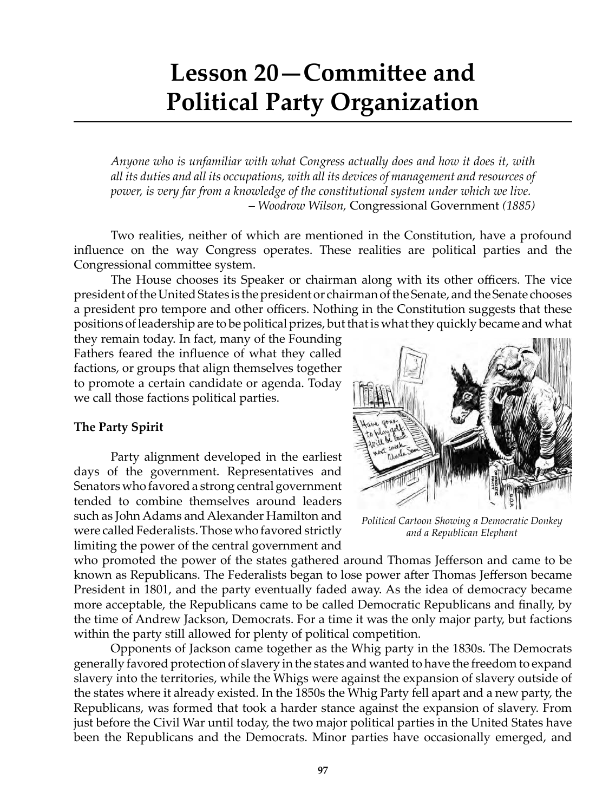# Lesson 20-Committee and **Political Party Organization**

*Anyone who is unfamiliar with what Congress actually does and how it does it, with all its duties and all its occupations, with all its devices of management and resources of power, is very far from a knowledge of the constitutional system under which we live. – Woodrow Wilson,* Congressional Government *(1885)*

Two realities, neither of which are mentioned in the Constitution, have a profound influence on the way Congress operates. These realities are political parties and the Congressional committee system.

The House chooses its Speaker or chairman along with its other officers. The vice president of the United States is the president or chairman of the Senate, and the Senate chooses a president pro tempore and other officers. Nothing in the Constitution suggests that these positions of leadership are to be political prizes, but that is what they quickly became and what

they remain today. In fact, many of the Founding Fathers feared the influence of what they called factions, or groups that align themselves together to promote a certain candidate or agenda. Today we call those factions political parties.

### **The Party Spirit**

Party alignment developed in the earliest days of the government. Representatives and Senators who favored a strong central government tended to combine themselves around leaders such as John Adams and Alexander Hamilton and were called Federalists. Those who favored strictly limiting the power of the central government and



*Political Cartoon Showing a Democratic Donkey and a Republican Elephant*

who promoted the power of the states gathered around Thomas Jefferson and came to be known as Republicans. The Federalists began to lose power after Thomas Jefferson became President in 1801, and the party eventually faded away. As the idea of democracy became more acceptable, the Republicans came to be called Democratic Republicans and finally, by the time of Andrew Jackson, Democrats. For a time it was the only major party, but factions within the party still allowed for plenty of political competition.

Opponents of Jackson came together as the Whig party in the 1830s. The Democrats generally favored protection of slavery in the states and wanted to have the freedom to expand slavery into the territories, while the Whigs were against the expansion of slavery outside of the states where it already existed. In the 1850s the Whig Party fell apart and a new party, the Republicans, was formed that took a harder stance against the expansion of slavery. From just before the Civil War until today, the two major political parties in the United States have been the Republicans and the Democrats. Minor parties have occasionally emerged, and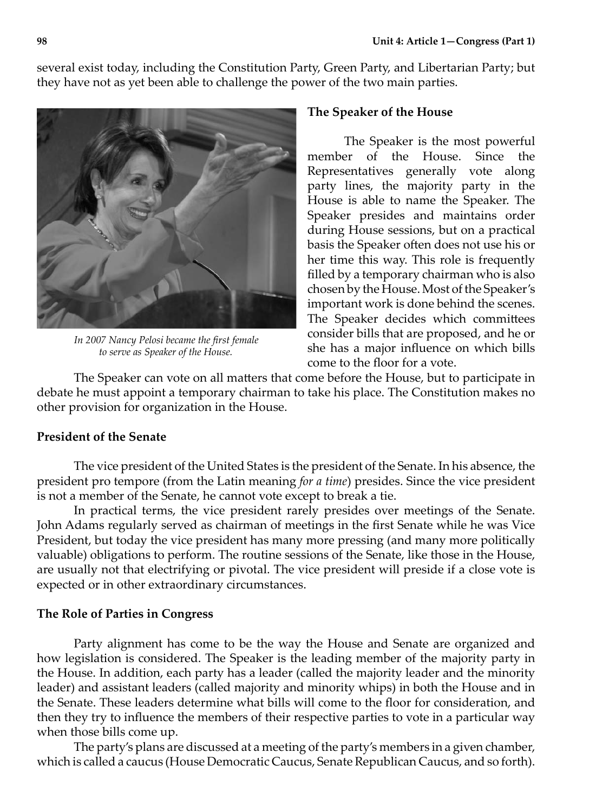several exist today, including the Constitution Party, Green Party, and Libertarian Party; but they have not as yet been able to challenge the power of the two main parties.



In 2007 Nancy Pelosi became the first female *to serve as Speaker of the House.*

### **The Speaker of the House**

The Speaker is the most powerful member of the House. Since the Representatives generally vote along party lines, the majority party in the House is able to name the Speaker. The Speaker presides and maintains order during House sessions, but on a practical basis the Speaker often does not use his or her time this way. This role is frequently filled by a temporary chairman who is also chosen by the House. Most of the Speaker's important work is done behind the scenes. The Speaker decides which committees consider bills that are proposed, and he or she has a major influence on which bills come to the floor for a vote.

The Speaker can vote on all matters that come before the House, but to participate in debate he must appoint a temporary chairman to take his place. The Constitution makes no other provision for organization in the House.

### **President of the Senate**

The vice president of the United States is the president of the Senate. In his absence, the president pro tempore (from the Latin meaning *for a time*) presides. Since the vice president is not a member of the Senate, he cannot vote except to break a tie.

In practical terms, the vice president rarely presides over meetings of the Senate. John Adams regularly served as chairman of meetings in the first Senate while he was Vice President, but today the vice president has many more pressing (and many more politically valuable) obligations to perform. The routine sessions of the Senate, like those in the House, are usually not that electrifying or pivotal. The vice president will preside if a close vote is expected or in other extraordinary circumstances.

### **The Role of Parties in Congress**

Party alignment has come to be the way the House and Senate are organized and how legislation is considered. The Speaker is the leading member of the majority party in the House. In addition, each party has a leader (called the majority leader and the minority leader) and assistant leaders (called majority and minority whips) in both the House and in the Senate. These leaders determine what bills will come to the floor for consideration, and then they try to influence the members of their respective parties to vote in a particular way when those bills come up.

The party's plans are discussed at a meeting of the party's members in a given chamber, which is called a caucus (House Democratic Caucus, Senate Republican Caucus, and so forth).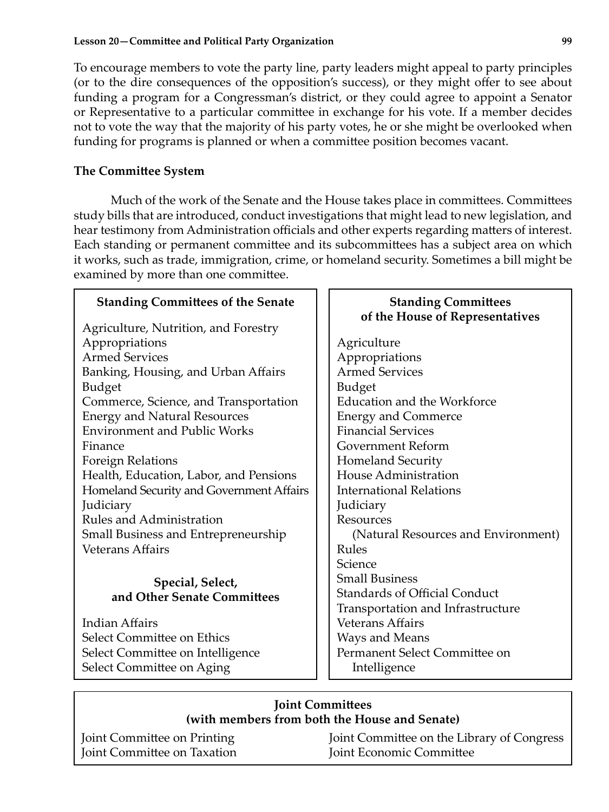To encourage members to vote the party line, party leaders might appeal to party principles (or to the dire consequences of the opposition's success), or they might offer to see about funding a program for a Congressman's district, or they could agree to appoint a Senator or Representative to a particular committee in exchange for his vote. If a member decides not to vote the way that the majority of his party votes, he or she might be overlooked when funding for programs is planned or when a committee position becomes vacant.

# **The Committee System**

Much of the work of the Senate and the House takes place in committees. Committees study bills that are introduced, conduct investigations that might lead to new legislation, and hear testimony from Administration officials and other experts regarding matters of interest. Each standing or permanent committee and its subcommittees has a subject area on which it works, such as trade, immigration, crime, or homeland security. Sometimes a bill might be examined by more than one committee.

# **Standing Committees of the Senate**

Agriculture, Nutrition, and Forestry Appropriations Armed Services Banking, Housing, and Urban Affairs Budget Commerce, Science, and Transportation Energy and Natural Resources Environment and Public Works Finance Foreign Relations Health, Education, Labor, and Pensions Homeland Security and Government Affairs **Judiciary** Rules and Administration Small Business and Entrepreneurship Veterans Affairs

### **Special, Select, and Other Senate Committees**

Indian Affairs Select Committee on Ethics Select Committee on Intelligence Select Committee on Aging

## **Standing Committees of the House of Representatives**

Agriculture Appropriations Armed Services Budget Education and the Workforce Energy and Commerce Financial Services Government Reform Homeland Security House Administration International Relations Judiciary Resources (Natural Resources and Environment) Rules Science Small Business Standards of Official Conduct Transportation and Infrastructure Veterans Affairs Ways and Means Permanent Select Committee on Intelligence

# **Joint Committees (with members from both the House and Senate)**

Joint Committee on Printing Joint Committee on Taxation Joint Committee on the Library of Congress Joint Economic Committee